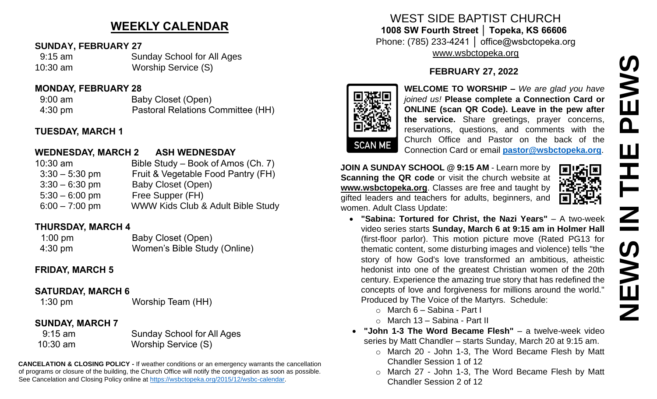# **WEEKLY CALENDAR**

#### **SUNDAY, FEBRUARY 27**

 9:15 am Sunday School for All Ages 10:30 am Worship Service (S)

#### **MONDAY, FEBRUARY 28**

9:00 am Baby Closet (Open) 4:30 pm Pastoral Relations Committee (HH)

#### **TUESDAY, MARCH 1**

#### **WEDNESDAY, MARCH 2 ASH WEDNESDAY**

| $10:30$ am       | Bible Study – Book of Amos (Ch. 7)           |
|------------------|----------------------------------------------|
| $3:30 - 5:30$ pm | Fruit & Vegetable Food Pantry (FH)           |
| $3:30 - 6:30$ pm | Baby Closet (Open)                           |
| $5:30 - 6:00$ pm | Free Supper (FH)                             |
| $6:00 - 7:00$ pm | <b>WWW Kids Club &amp; Adult Bible Study</b> |

#### **THURSDAY, MARCH 4**

| $1:00 \text{ pm}$ | Baby Closet (Open)           |
|-------------------|------------------------------|
| 4:30 pm           | Women's Bible Study (Online) |

## **FRIDAY, MARCH 5**

#### **SATURDAY, MARCH 6**

1:30 pm Worship Team (HH)

## **SUNDAY, MARCH 7**

 9:15 am Sunday School for All Ages 10:30 am Worship Service (S)

**CANCELATION & CLOSING POLICY -** If weather conditions or an emergency warrants the cancellation of programs or closure of the building, the Church Office will notify the congregation as soon as possible. See Cancelation and Closing Policy online at [https://wsbctopeka.org/2015/12/wsbc-calendar.](https://wsbctopeka.org/2015/12/wsbc-calendar)

# WEST SIDE BAPTIST CHURCH **1008 SW Fourth Street │ Topeka, KS 66606** Phone: (785) 233-4241 │ office@wsbctopeka.org [www.wsbctopeka.org](http://www.wsbctopeka.org/)

# **FEBRUARY 27, 2022**



**WELCOME TO WORSHIP –** *We are glad you have joined us!* **Please complete a Connection Card or ONLINE (scan QR Code). Leave in the pew after the service.** Share greetings, prayer concerns, reservations, questions, and comments with the Church Office and Pastor on the back of the Connection Card or email **[pastor@wsbctopeka.org](mailto:pastor@wsbctopeka.org)**.

**JOIN A SUNDAY SCHOOL @ 9:15 AM** - Learn more by **Scanning the QR code** or visit the church website at **www.wsbctopeka.org**. Classes are free and taught by gifted leaders and teachers for adults, beginners, and women. Adult Class Update:



- **"Sabina: Tortured for Christ, the Nazi Years"** A two-week video series starts **Sunday, March 6 at 9:15 am in Holmer Hall**  (first-floor parlor). This motion picture move (Rated PG13 for thematic content, some disturbing images and violence) tells "the story of how God's love transformed an ambitious, atheistic hedonist into one of the greatest Christian women of the 20th century. Experience the amazing true story that has redefined the concepts of love and forgiveness for millions around the world." Produced by The Voice of the Martyrs. Schedule:
	- o March 6 Sabina Part I
	- $\circ$  March 13 Sabina Part II
- **"John 1-3 The Word Became Flesh"** a twelve-week video series by Matt Chandler – starts Sunday, March 20 at 9:15 am.
	- o March 20 John 1-3, The Word Became Flesh by Matt Chandler Session 1 of 12
	- o March 27 John 1-3, The Word Became Flesh by Matt Chandler Session 2 of 12